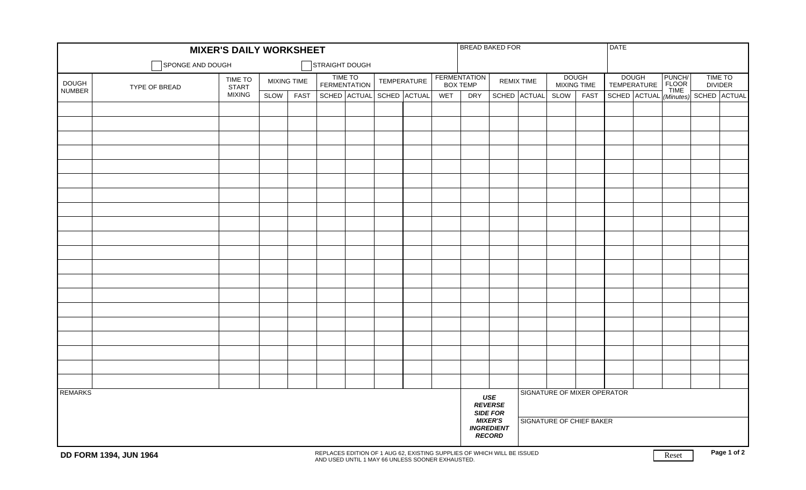|                               | <b>BREAD BAKED FOR</b><br><b>MIXER'S DAILY WORKSHEET</b> |               |                                                                                                         |                                                         |  |                         |  |              |     |                                        |  |                   |                    |              | DATE         |  |        |                                                                                    |  |  |  |  |  |
|-------------------------------|----------------------------------------------------------|---------------|---------------------------------------------------------------------------------------------------------|---------------------------------------------------------|--|-------------------------|--|--------------|-----|----------------------------------------|--|-------------------|--------------------|--------------|--------------|--|--------|------------------------------------------------------------------------------------|--|--|--|--|--|
|                               | SPONGE AND DOUGH                                         |               |                                                                                                         |                                                         |  | STRAIGHT DOUGH          |  |              |     |                                        |  |                   |                    |              |              |  |        |                                                                                    |  |  |  |  |  |
| <b>DOUGH</b><br><b>NUMBER</b> | TIME TO<br><b>START</b><br>TYPE OF BREAD                 |               | <b>MIXING TIME</b>                                                                                      |                                                         |  | TIME TO<br>FERMENTATION |  | TEMPERATURE  |     | <b>FERMENTATION</b><br><b>BOX TEMP</b> |  | <b>REMIX TIME</b> | <b>MIXING TIME</b> | <b>DOUGH</b> | <b>DOUGH</b> |  | PUNCH/ | <b>TIME TO</b><br>TEMPERATURE FLOOR DIVIDER<br>SCHED ACTUAL (Minutes) SCHED ACTUAL |  |  |  |  |  |
|                               |                                                          | <b>MIXING</b> | SLOW                                                                                                    | FAST                                                    |  | SCHED ACTUAL            |  | SCHED ACTUAL | WET | <b>DRY</b>                             |  | SCHED ACTUAL      | SLOW               | <b>FAST</b>  |              |  |        |                                                                                    |  |  |  |  |  |
|                               |                                                          |               |                                                                                                         |                                                         |  |                         |  |              |     |                                        |  |                   |                    |              |              |  |        |                                                                                    |  |  |  |  |  |
|                               |                                                          |               |                                                                                                         |                                                         |  |                         |  |              |     |                                        |  |                   |                    |              |              |  |        |                                                                                    |  |  |  |  |  |
|                               |                                                          |               |                                                                                                         |                                                         |  |                         |  |              |     |                                        |  |                   |                    |              |              |  |        |                                                                                    |  |  |  |  |  |
|                               |                                                          |               |                                                                                                         |                                                         |  |                         |  |              |     |                                        |  |                   |                    |              |              |  |        |                                                                                    |  |  |  |  |  |
|                               |                                                          |               |                                                                                                         |                                                         |  |                         |  |              |     |                                        |  |                   |                    |              |              |  |        |                                                                                    |  |  |  |  |  |
|                               |                                                          |               |                                                                                                         |                                                         |  |                         |  |              |     |                                        |  |                   |                    |              |              |  |        |                                                                                    |  |  |  |  |  |
|                               |                                                          |               |                                                                                                         |                                                         |  |                         |  |              |     |                                        |  |                   |                    |              |              |  |        |                                                                                    |  |  |  |  |  |
|                               |                                                          |               |                                                                                                         |                                                         |  |                         |  |              |     |                                        |  |                   |                    |              |              |  |        |                                                                                    |  |  |  |  |  |
|                               |                                                          |               |                                                                                                         |                                                         |  |                         |  |              |     |                                        |  |                   |                    |              |              |  |        |                                                                                    |  |  |  |  |  |
|                               |                                                          |               |                                                                                                         |                                                         |  |                         |  |              |     |                                        |  |                   |                    |              |              |  |        |                                                                                    |  |  |  |  |  |
|                               |                                                          |               |                                                                                                         |                                                         |  |                         |  |              |     |                                        |  |                   |                    |              |              |  |        |                                                                                    |  |  |  |  |  |
|                               |                                                          |               |                                                                                                         |                                                         |  |                         |  |              |     |                                        |  |                   |                    |              |              |  |        |                                                                                    |  |  |  |  |  |
|                               |                                                          |               |                                                                                                         |                                                         |  |                         |  |              |     |                                        |  |                   |                    |              |              |  |        |                                                                                    |  |  |  |  |  |
|                               |                                                          |               |                                                                                                         |                                                         |  |                         |  |              |     |                                        |  |                   |                    |              |              |  |        |                                                                                    |  |  |  |  |  |
|                               |                                                          |               |                                                                                                         |                                                         |  |                         |  |              |     |                                        |  |                   |                    |              |              |  |        |                                                                                    |  |  |  |  |  |
|                               |                                                          |               |                                                                                                         |                                                         |  |                         |  |              |     |                                        |  |                   |                    |              |              |  |        |                                                                                    |  |  |  |  |  |
|                               |                                                          |               |                                                                                                         |                                                         |  |                         |  |              |     |                                        |  |                   |                    |              |              |  |        |                                                                                    |  |  |  |  |  |
|                               |                                                          |               |                                                                                                         |                                                         |  |                         |  |              |     |                                        |  |                   |                    |              |              |  |        |                                                                                    |  |  |  |  |  |
|                               |                                                          |               |                                                                                                         |                                                         |  |                         |  |              |     |                                        |  |                   |                    |              |              |  |        |                                                                                    |  |  |  |  |  |
|                               |                                                          |               |                                                                                                         |                                                         |  |                         |  |              |     |                                        |  |                   |                    |              |              |  |        |                                                                                    |  |  |  |  |  |
| <b>REMARKS</b>                |                                                          |               | <b>USE</b><br><b>REVERSE</b><br><b>SIDE FOR</b><br><b>MIXER'S</b><br><b>INGREDIENT</b><br><b>RECORD</b> | SIGNATURE OF MIXER OPERATOR<br>SIGNATURE OF CHIEF BAKER |  |                         |  |              |     |                                        |  |                   |                    |              |              |  |        |                                                                                    |  |  |  |  |  |